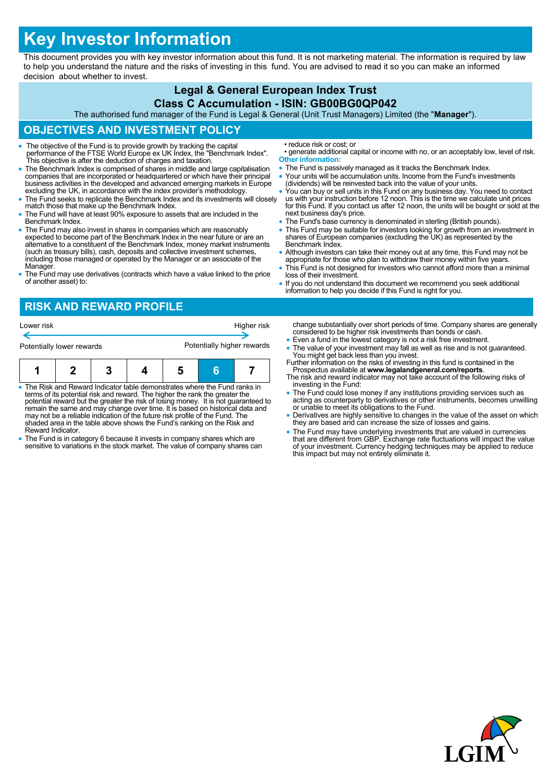# **Key Investor Information**

This document provides you with key investor information about this fund. It is not marketing material. The information is required by law to help you understand the nature and the risks of investing in this fund. You are advised to read it so you can make an informed decision about whether to invest.

#### **Legal & General European Index Trust Class C Accumulation - ISIN: GB00BG0QP042** The authorised fund manager of the Fund is Legal & General (Unit Trust Managers) Limited (the "**Manager**"). **OBJECTIVES AND INVESTMENT POLICY** The objective of the Fund is to provide growth by tracking the capital performance of the FTSE World Europe ex UK Index, the "Benchmark Index". This objective is after the deduction of charges and taxation. The Benchmark Index is comprised of shares in middle and large capitalisation companies that are incorporated or headquartered or which have their principal business activities in the developed and advanced emerging markets in Europe excluding the UK, in accordance with the index provider's methodology. • The Fund seeks to replicate the Benchmark Index and its investments will closely match those that make up the Benchmark Index. The Fund will have at least 90% exposure to assets that are included in the Benchmark Index. The Fund may also invest in shares in companies which are reasonably expected to become part of the Benchmark Index in the near future or are an alternative to a constituent of the Benchmark Index, money market instruments (such as treasury bills), cash, deposits and collective investment schemes, including those managed or operated by the Manager or an associate of the Manager. The Fund may use derivatives (contracts which have a value linked to the price of another asset) to: • reduce risk or cost; or • generate additional capital or income with no, or an acceptably low, level of risk. **Other information:** • The Fund is passively managed as it tracks the Benchmark Index. Your units will be accumulation units. Income from the Fund's investments (dividends) will be reinvested back into the value of your units. You can buy or sell units in this Fund on any business day. You need to contact us with your instruction before 12 noon. This is the time we calculate unit prices for this Fund. If you contact us after 12 noon, the units will be bought or sold at the next business day's price. • The Fund's base currency is denominated in sterling (British pounds). This Fund may be suitable for investors looking for growth from an investment in shares of European companies (excluding the UK) as represented by the Benchmark Index. • Although investors can take their money out at any time, this Fund may not be appropriate for those who plan to withdraw their money within five years. This Fund is not designed for investors who cannot afford more than a minimal loss of their investment. If you do not understand this document we recommend you seek additional information to help you decide if this Fund is right for you. **RISK AND REWARD PROFILE** change substantially over short periods of time. Company shares are generally considered to be higher risk investments than bonds or cash. Even a fund in the lowest category is not a risk free investment. • The value of your investment may fall as well as rise and is not guaranteed. You might get back less than you invest. Further information on the risks of investing in this fund is contained in the Lower risk **Higher risk** Potentially lower rewards **Potentially higher rewards**

 The Risk and Reward Indicator table demonstrates where the Fund ranks in terms of its potential risk and reward. The higher the rank the greater the potential reward but the greater the risk of losing money. It is not guaranteed to remain the same and may change over time. It is based on historical data and **1 2 3 4 5 6 7**

may not be a reliable indication of the future risk profile of the Fund. The shaded area in the table above shows the Fund's ranking on the Risk and Reward Indicator.

- The Fund is in category 6 because it invests in company shares which are sensitive to variations in the stock market. The value of company shares can
- Prospectus available at **www.legalandgeneral.com/reports**. The risk and reward indicator may not take account of the following risks of
- investing in the Fund:
- The Fund could lose money if any institutions providing services such as acting as counterparty to derivatives or other instruments, becomes unwilling or unable to meet its obligations to the Fund.
- Derivatives are highly sensitive to changes in the value of the asset on which they are based and can increase the size of losses and gains.
- The Fund may have underlying investments that are valued in currencies that are different from GBP. Exchange rate fluctuations will impact the value of your investment. Currency hedging techniques may be applied to reduce this impact but may not entirely eliminate it.